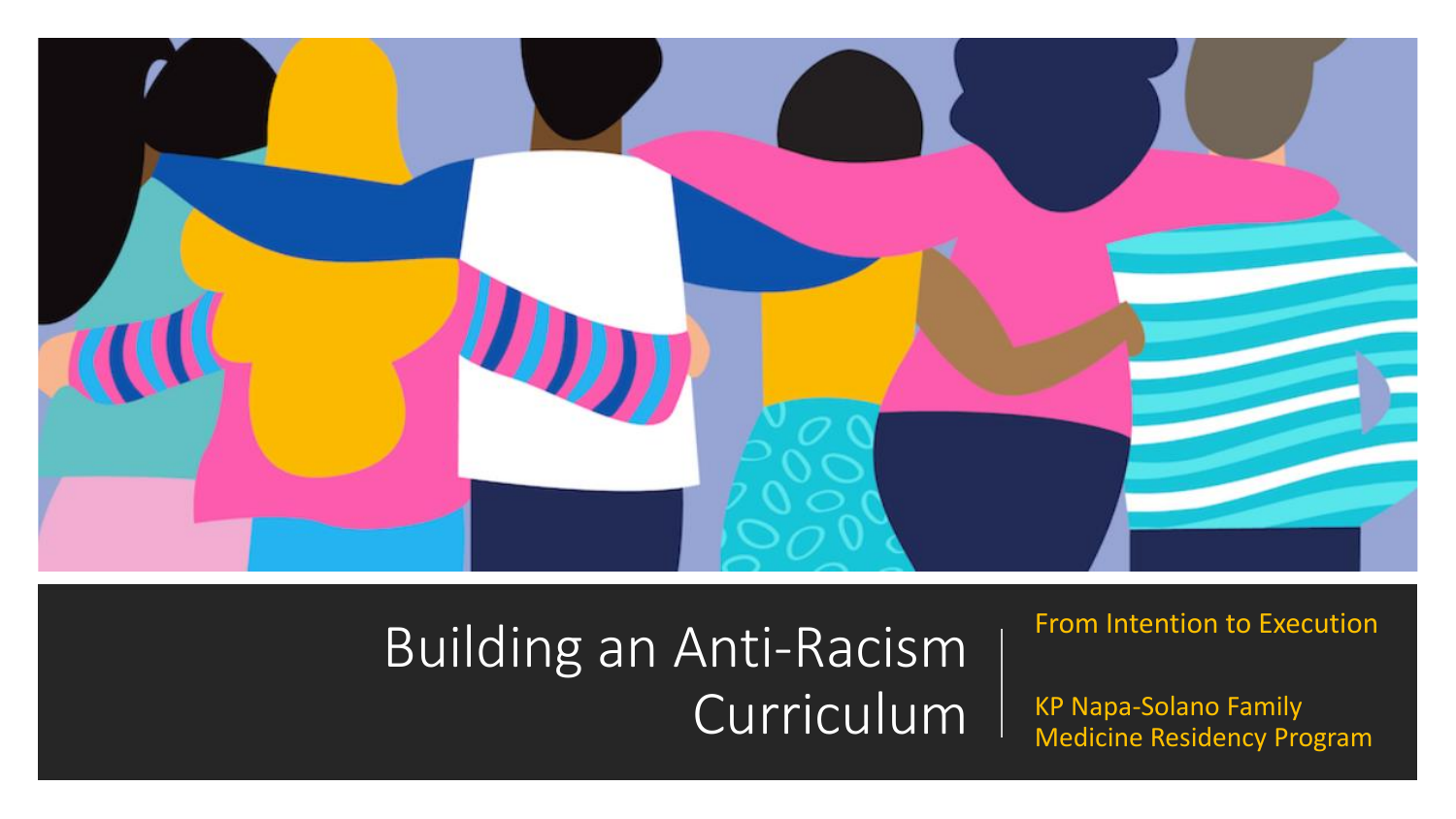

## Building an Anti-Racism Curriculum

### From Intention to Execution

KP Napa-Solano Family Medicine Residency Program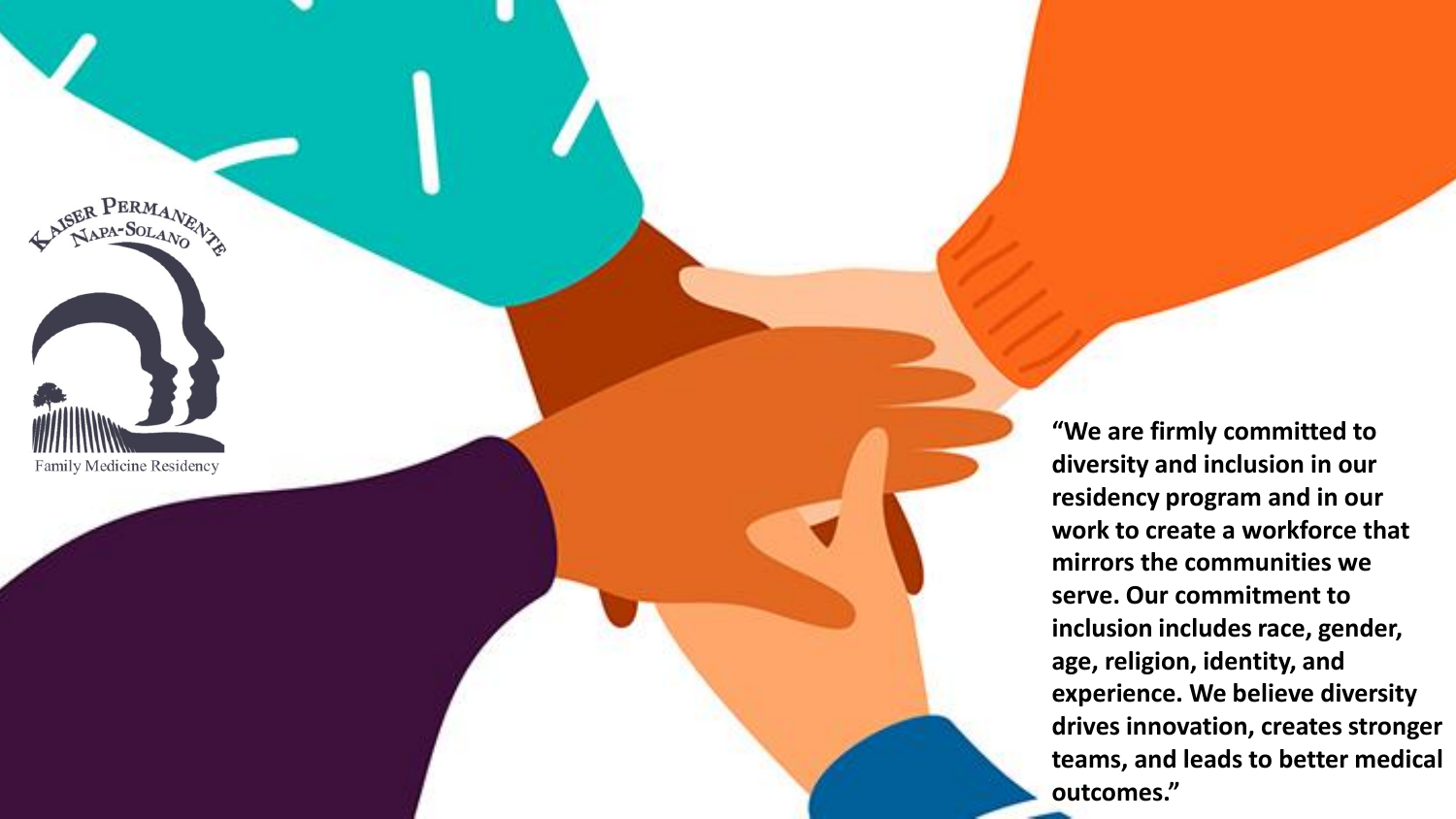NSER PERMANEWS Family Medicine Residency

**"We are firmly committed to diversity and inclusion in our residency program and in our work to create a workforce that mirrors the communities we serve. Our commitment to inclusion includes race, gender, age, religion, identity, and experience. We believe diversity drives innovation, creates stronger teams, and leads to better medical outcomes."**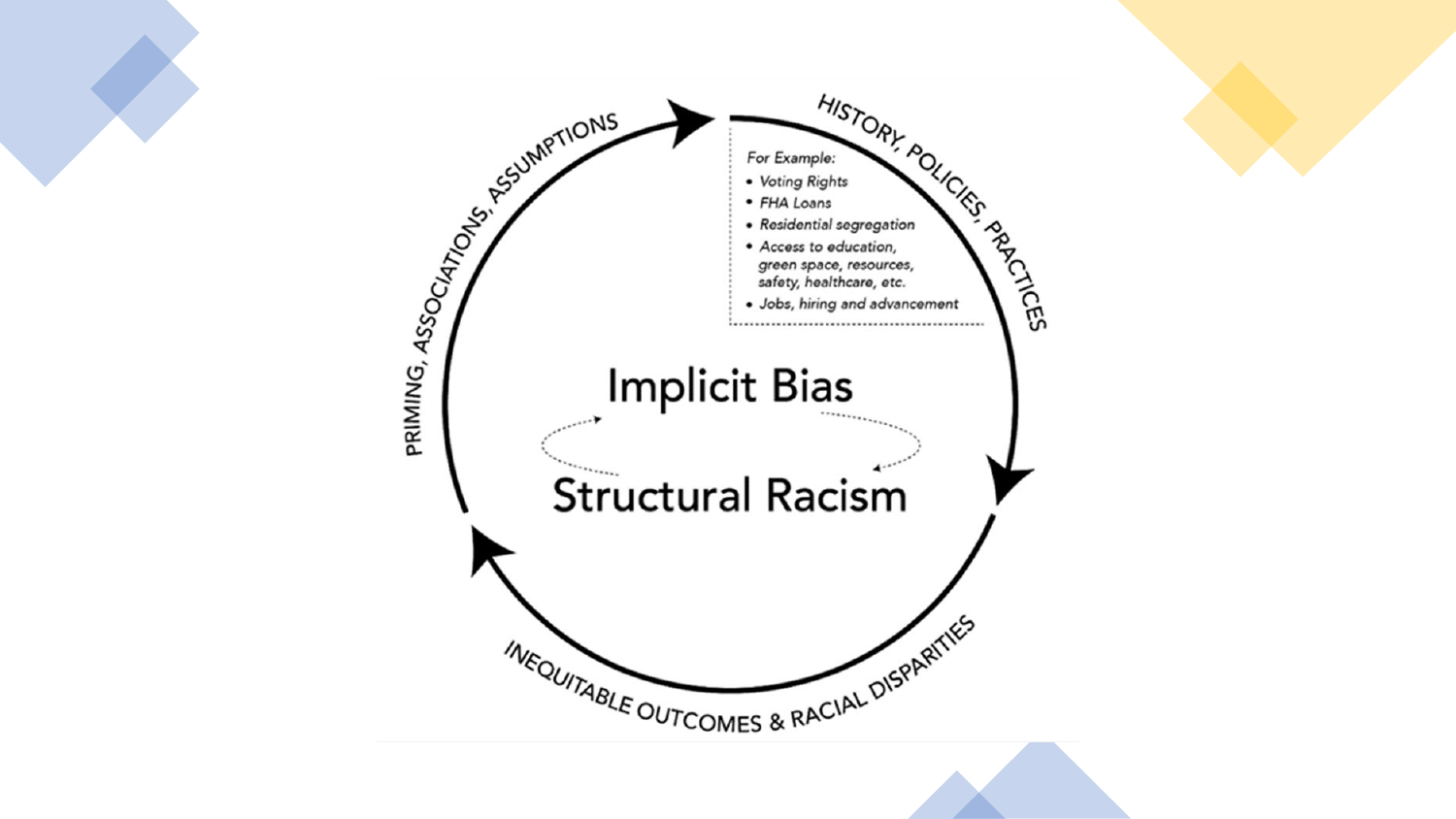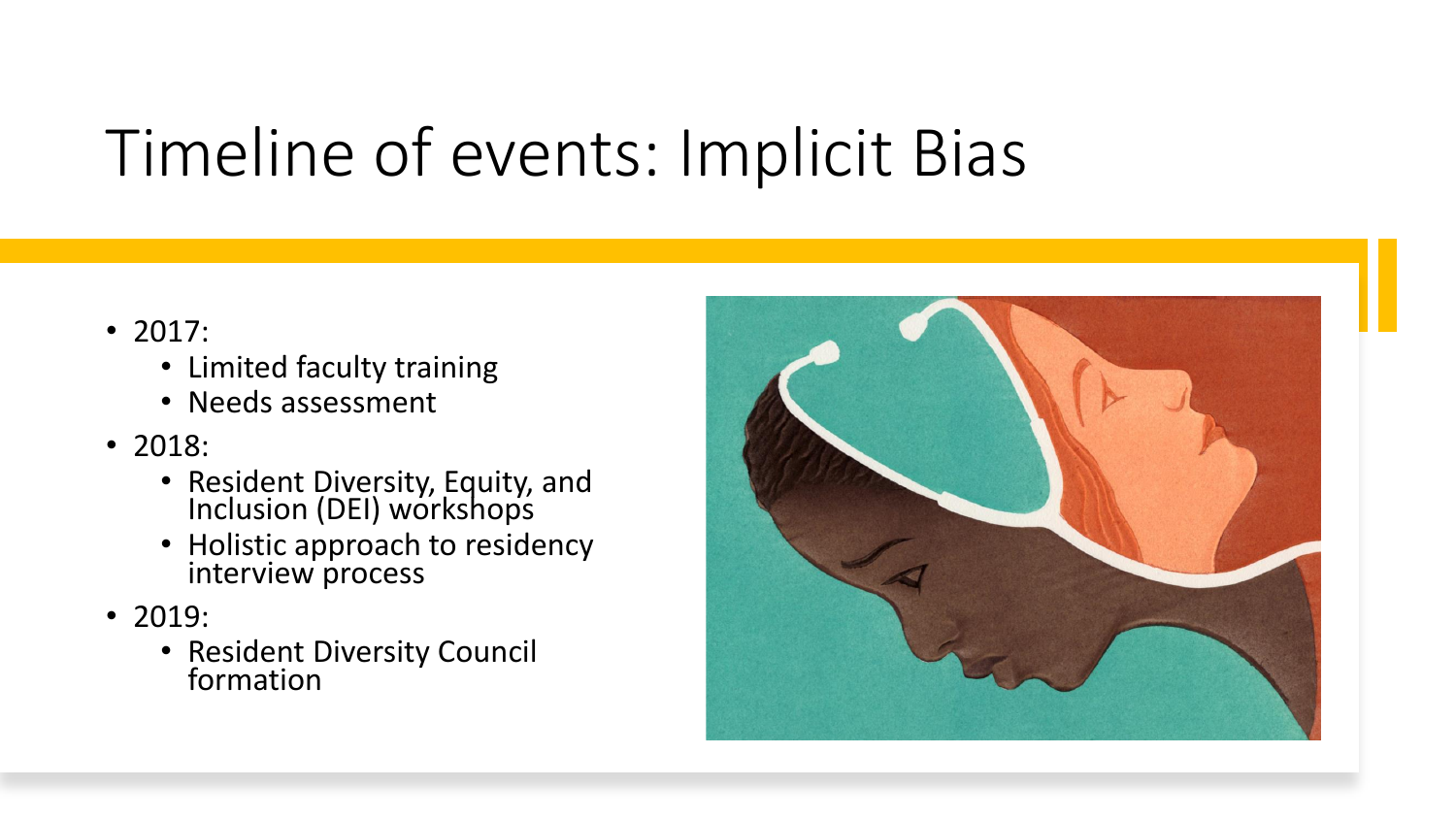# Timeline of events: Implicit Bias

- 2017:
	- Limited faculty training
	- Needs assessment
- 2018:
	- Resident Diversity, Equity, and Inclusion (DEI) workshops
	- Holistic approach to residency interview process
- 2019:
	- Resident Diversity Council formation

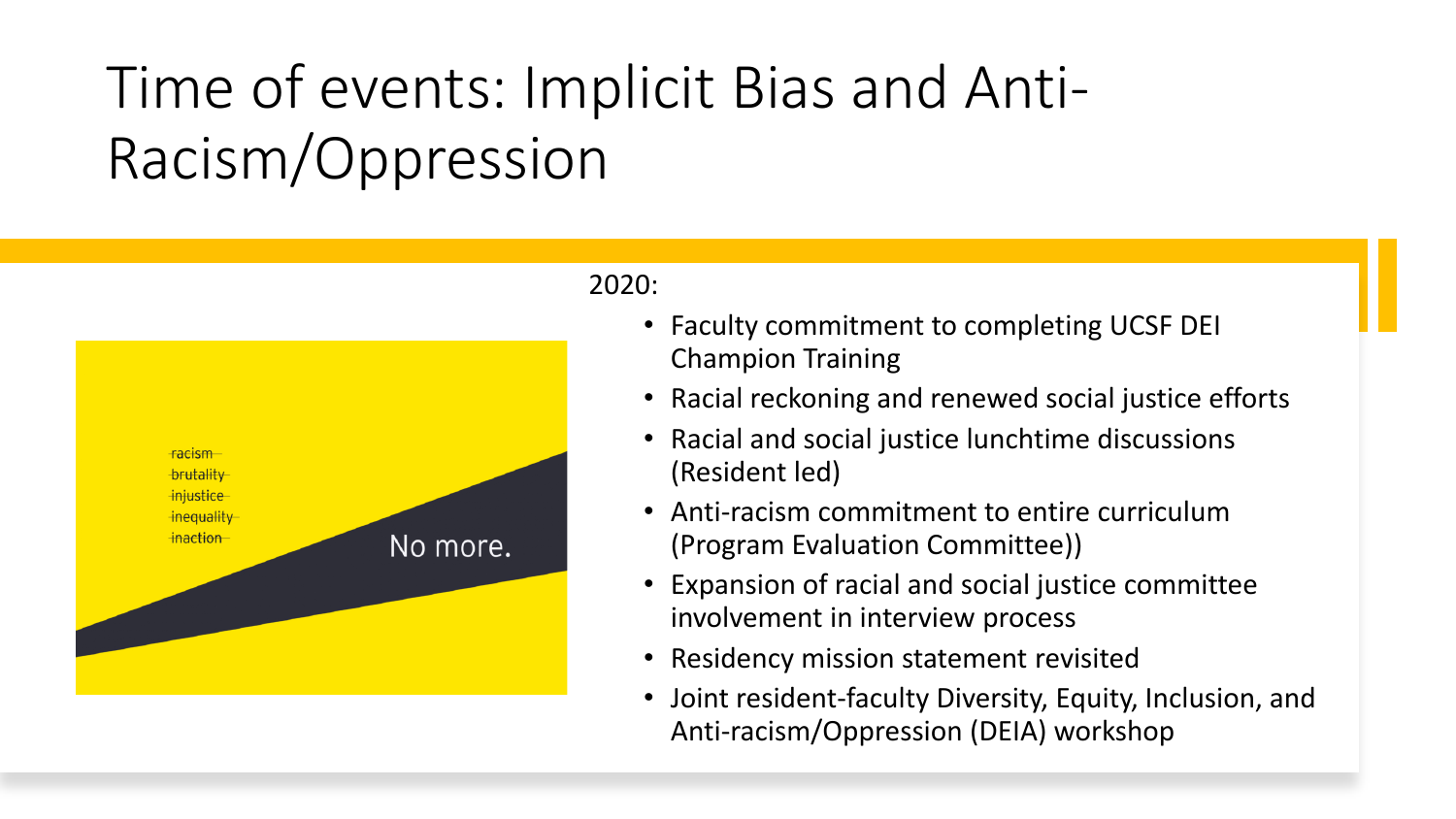## Time of events: Implicit Bias and Anti-Racism/Oppression



#### 2020:

- Faculty commitment to completing UCSF DEI Champion Training
- Racial reckoning and renewed social justice efforts
- Racial and social justice lunchtime discussions (Resident led)
- Anti-racism commitment to entire curriculum (Program Evaluation Committee))
- Expansion of racial and social justice committee involvement in interview process
- Residency mission statement revisited
- Joint resident-faculty Diversity, Equity, Inclusion, and Anti-racism/Oppression (DEIA) workshop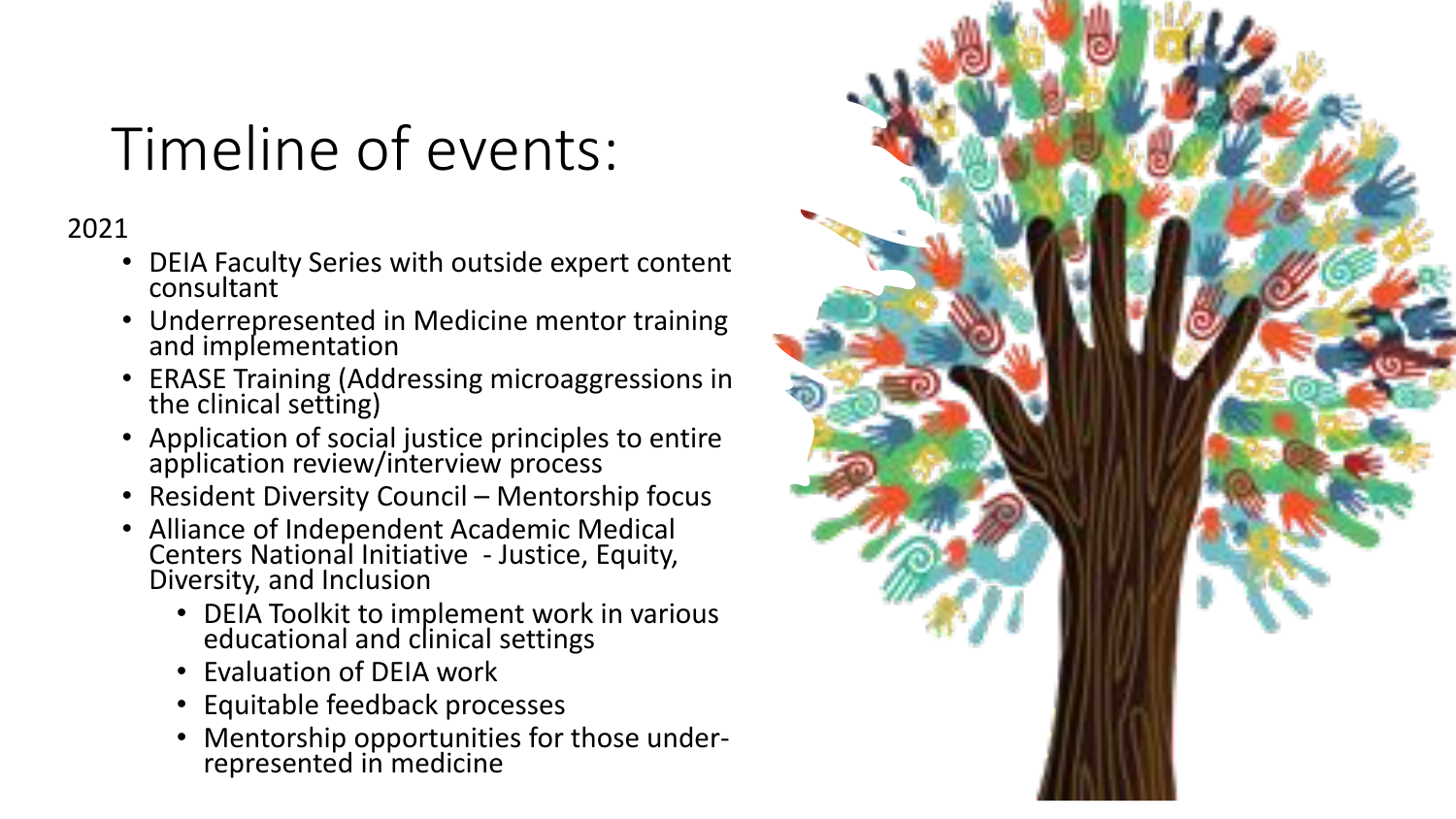## Timeline of events:

2021

- DEIA Faculty Series with outside expert content consultant
- Underrepresented in Medicine mentor training and implementation
- ERASE Training (Addressing microaggressions in the clinical setting)
- Application of social justice principles to entire application review/interview process
- Resident Diversity Council Mentorship focus
- Alliance of Independent Academic Medical Centers National Initiative - Justice, Equity, Diversity, and Inclusion
	- DEIA Toolkit to implement work in various educational and clinical settings
	- Evaluation of DEIA work
	- Equitable feedback processes
	- Mentorship opportunities for those underrepresented in medicine

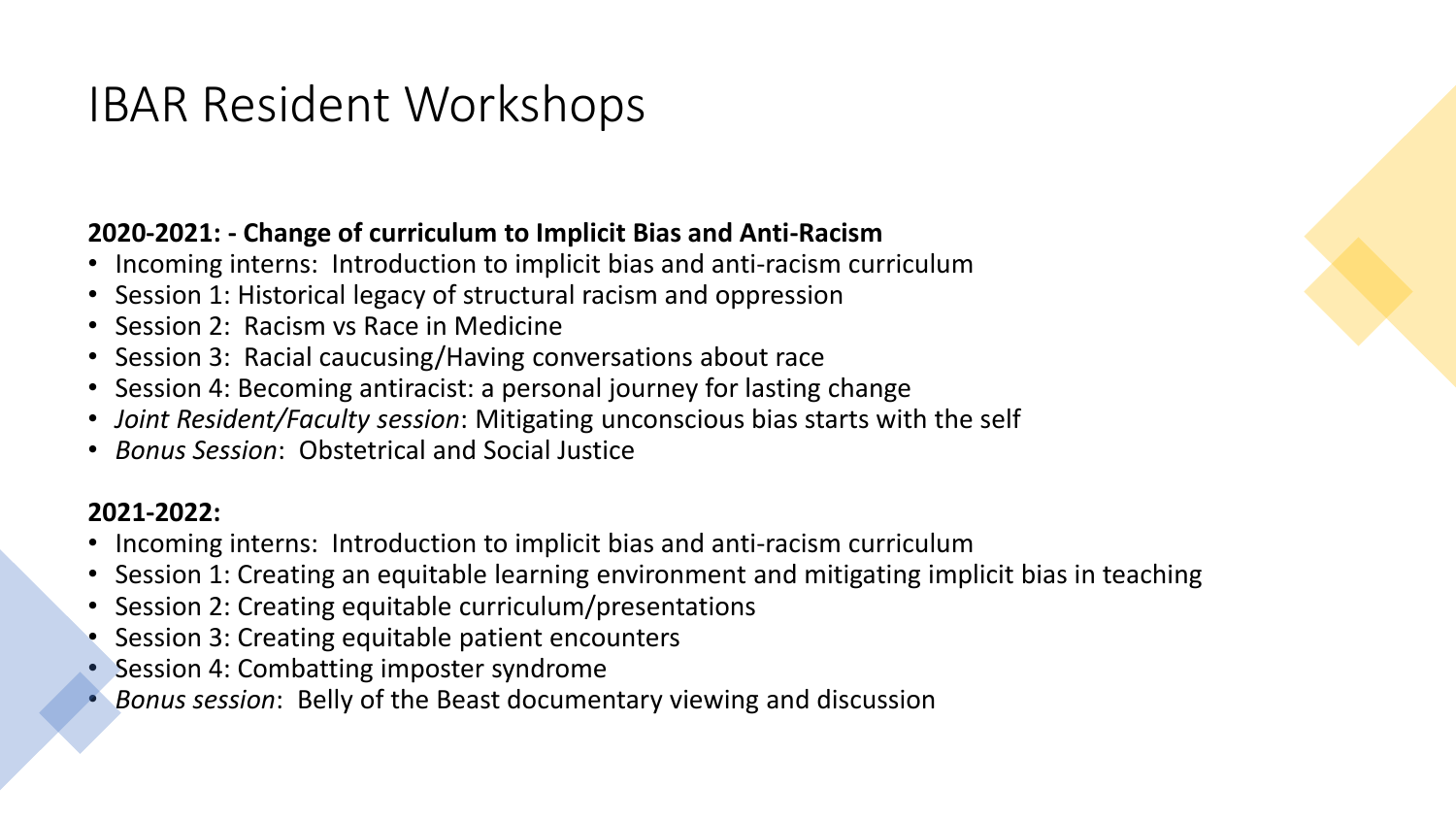## IBAR Resident Workshops

### **2020-2021: - Change of curriculum to Implicit Bias and Anti-Racism**

- Incoming interns: Introduction to implicit bias and anti-racism curriculum
- Session 1: Historical legacy of structural racism and oppression
- Session 2: Racism vs Race in Medicine
- Session 3: Racial caucusing/Having conversations about race
- Session 4: Becoming antiracist: a personal journey for lasting change
- *Joint Resident/Faculty session*: Mitigating unconscious bias starts with the self
- *Bonus Session*: Obstetrical and Social Justice

### **2021-2022:**

- Incoming interns: Introduction to implicit bias and anti-racism curriculum
- Session 1: Creating an equitable learning environment and mitigating implicit bias in teaching
- Session 2: Creating equitable curriculum/presentations
- Session 3: Creating equitable patient encounters
- Session 4: Combatting imposter syndrome
- *Bonus session*: Belly of the Beast documentary viewing and discussion